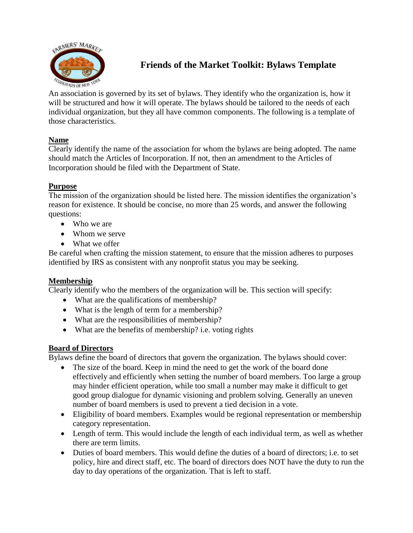

# **Friends of the Market Toolkit: Bylaws Template**

An association is governed by its set of bylaws. They identify who the organization is, how it will be structured and how it will operate. The bylaws should be tailored to the needs of each individual organization, but they all have common components. The following is a template of those characteristics.

# **Name**

Clearly identify the name of the association for whom the bylaws are being adopted. The name should match the Articles of Incorporation. If not, then an amendment to the Articles of Incorporation should be filed with the Department of State.

# **Purpose**

The mission of the organization should be listed here. The mission identifies the organization's reason for existence. It should be concise, no more than 25 words, and answer the following questions:

- Who we are
- Whom we serve
- What we offer

Be careful when crafting the mission statement, to ensure that the mission adheres to purposes identified by IRS as consistent with any nonprofit status you may be seeking.

### **Membership**

Clearly identify who the members of the organization will be. This section will specify:

- What are the qualifications of membership?
- What is the length of term for a membership?
- What are the responsibilities of membership?
- What are the benefits of membership? i.e. voting rights

### **Board of Directors**

Bylaws define the board of directors that govern the organization. The bylaws should cover:

- The size of the board. Keep in mind the need to get the work of the board done effectively and efficiently when setting the number of board members. Too large a group may hinder efficient operation, while too small a number may make it difficult to get good group dialogue for dynamic visioning and problem solving. Generally an uneven number of board members is used to prevent a tied decision in a vote.
- Eligibility of board members. Examples would be regional representation or membership category representation.
- Length of term. This would include the length of each individual term, as well as whether there are term limits.
- Duties of board members. This would define the duties of a board of directors; i.e. to set policy, hire and direct staff, etc. The board of directors does NOT have the duty to run the day to day operations of the organization. That is left to staff.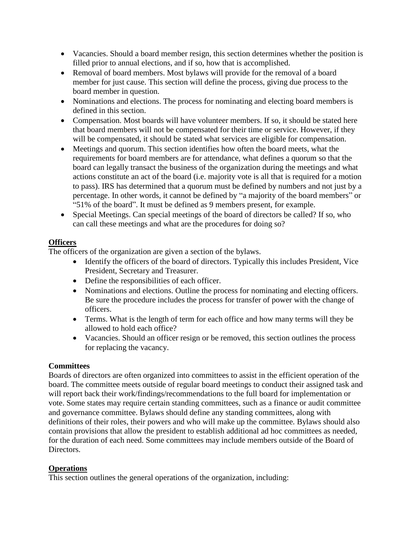- Vacancies. Should a board member resign, this section determines whether the position is filled prior to annual elections, and if so, how that is accomplished.
- Removal of board members. Most bylaws will provide for the removal of a board member for just cause. This section will define the process, giving due process to the board member in question.
- Nominations and elections. The process for nominating and electing board members is defined in this section.
- Compensation. Most boards will have volunteer members. If so, it should be stated here that board members will not be compensated for their time or service. However, if they will be compensated, it should be stated what services are eligible for compensation.
- Meetings and quorum. This section identifies how often the board meets, what the requirements for board members are for attendance, what defines a quorum so that the board can legally transact the business of the organization during the meetings and what actions constitute an act of the board (i.e. majority vote is all that is required for a motion to pass). IRS has determined that a quorum must be defined by numbers and not just by a percentage. In other words, it cannot be defined by "a majority of the board members" or "51% of the board". It must be defined as 9 members present, for example.
- Special Meetings. Can special meetings of the board of directors be called? If so, who can call these meetings and what are the procedures for doing so?

# **Officers**

The officers of the organization are given a section of the bylaws.

- Identify the officers of the board of directors. Typically this includes President, Vice President, Secretary and Treasurer.
- Define the responsibilities of each officer.
- Nominations and elections. Outline the process for nominating and electing officers. Be sure the procedure includes the process for transfer of power with the change of officers.
- Terms. What is the length of term for each office and how many terms will they be allowed to hold each office?
- Vacancies. Should an officer resign or be removed, this section outlines the process for replacing the vacancy.

# **Committees**

Boards of directors are often organized into committees to assist in the efficient operation of the board. The committee meets outside of regular board meetings to conduct their assigned task and will report back their work/findings/recommendations to the full board for implementation or vote. Some states may require certain standing committees, such as a finance or audit committee and governance committee. Bylaws should define any standing committees, along with definitions of their roles, their powers and who will make up the committee. Bylaws should also contain provisions that allow the president to establish additional ad hoc committees as needed, for the duration of each need. Some committees may include members outside of the Board of Directors.

### **Operations**

This section outlines the general operations of the organization, including: